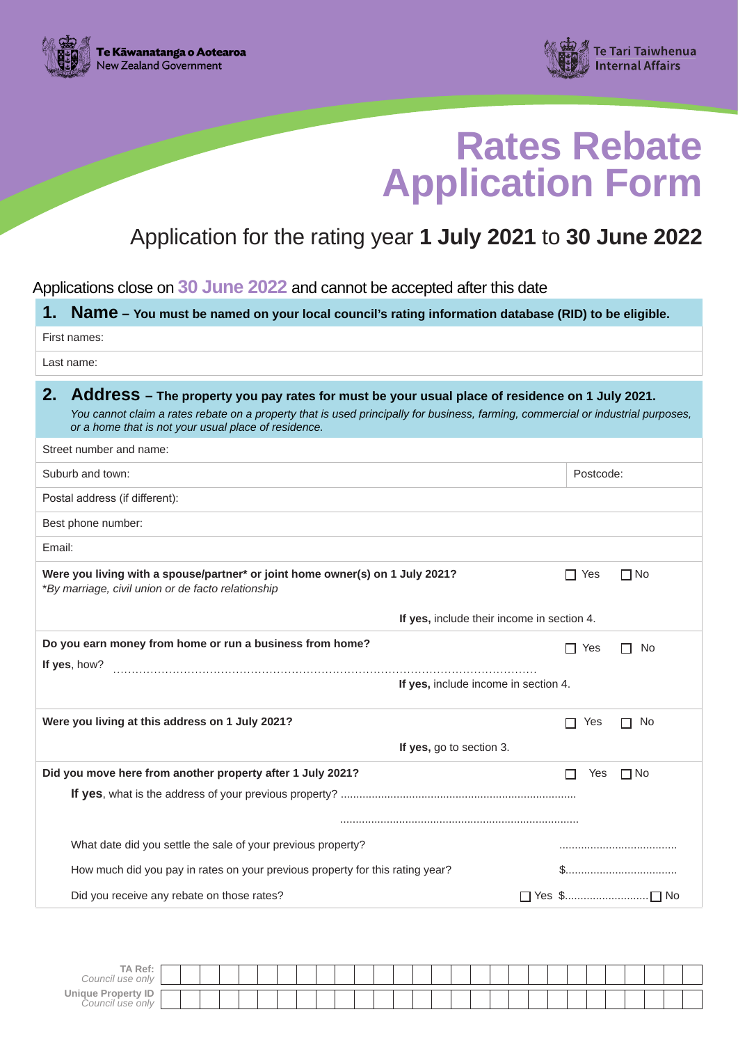



# **Rates Rebate Application Form**

# Application for the rating year **1 July 2021** to **30 June 2022**

Applications close on **30 June 2022** and cannot be accepted after this date

**1. Name – You must be named on your local council's rating information database (RID) to be eligible.**

| First names:                                                                                                                                                                                                                                                                                     |                         |
|--------------------------------------------------------------------------------------------------------------------------------------------------------------------------------------------------------------------------------------------------------------------------------------------------|-------------------------|
| Last name:                                                                                                                                                                                                                                                                                       |                         |
| 2.<br>Address - The property you pay rates for must be your usual place of residence on 1 July 2021.<br>You cannot claim a rates rebate on a property that is used principally for business, farming, commercial or industrial purposes,<br>or a home that is not your usual place of residence. |                         |
| Street number and name:                                                                                                                                                                                                                                                                          |                         |
| Suburb and town:                                                                                                                                                                                                                                                                                 | Postcode:               |
| Postal address (if different):                                                                                                                                                                                                                                                                   |                         |
| Best phone number:                                                                                                                                                                                                                                                                               |                         |
| Email:                                                                                                                                                                                                                                                                                           |                         |
| Were you living with a spouse/partner* or joint home owner(s) on 1 July 2021?<br>*By marriage, civil union or de facto relationship                                                                                                                                                              | $\Box$ No<br>$\Box$ Yes |
| If yes, include their income in section 4.                                                                                                                                                                                                                                                       |                         |
| Do you earn money from home or run a business from home?                                                                                                                                                                                                                                         | $\Box$ Yes<br>No<br>П   |
| If yes, how?<br>If yes, include income in section 4.                                                                                                                                                                                                                                             |                         |
| Were you living at this address on 1 July 2021?                                                                                                                                                                                                                                                  | ∩ No<br>$\Box$ Yes      |
| If yes, go to section 3.                                                                                                                                                                                                                                                                         |                         |
| Did you move here from another property after 1 July 2021?                                                                                                                                                                                                                                       | П<br>Yes<br>$\Box$ No   |
|                                                                                                                                                                                                                                                                                                  |                         |
| What date did you settle the sale of your previous property?                                                                                                                                                                                                                                     |                         |
| How much did you pay in rates on your previous property for this rating year?                                                                                                                                                                                                                    | \$                      |
| Did you receive any rebate on those rates?                                                                                                                                                                                                                                                       |                         |

| TA Ref:<br>Council use only                           |  |  |  |  |  |  |  |  |  |  |  |  |  |  |
|-------------------------------------------------------|--|--|--|--|--|--|--|--|--|--|--|--|--|--|
| <b>Unique Property ID</b><br>. ouncil :<br>, use onlv |  |  |  |  |  |  |  |  |  |  |  |  |  |  |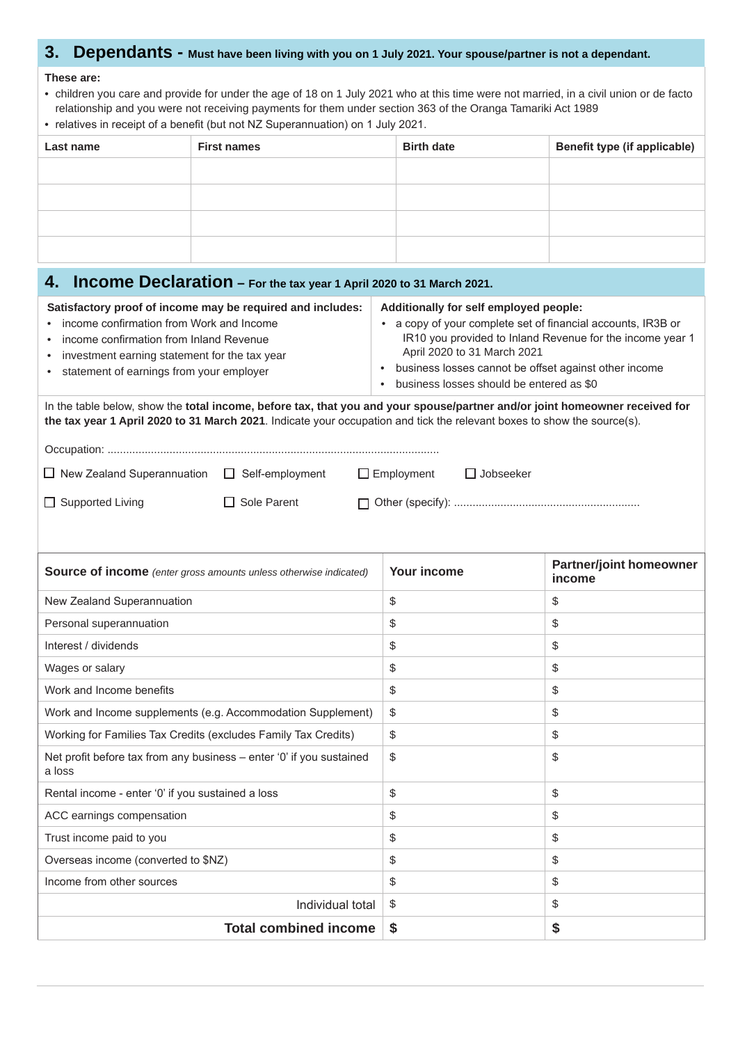## **3. Dependants - Must have been living with you on 1 July 2021. Your spouse/partner is not a dependant.**

#### **These are:**

- children you care and provide for under the age of 18 on 1 July 2021 who at this time were not married, in a civil union or de facto relationship and you were not receiving payments for them under section 363 of the Oranga Tamariki Act 1989
- relatives in receipt of a benefit (but not NZ Superannuation) on 1 July 2021.

| Last name | <b>First names</b> | <b>Birth date</b> | <b>Benefit type (if applicable)</b> |
|-----------|--------------------|-------------------|-------------------------------------|
|           |                    |                   |                                     |
|           |                    |                   |                                     |
|           |                    |                   |                                     |
|           |                    |                   |                                     |

| Income Declaration - For the tax year 1 April 2020 to 31 March 2021.<br>4.                                                                                                                                                                                               |                                                                                                                                                                                                                                                                                                                      |                                          |  |  |  |  |  |  |  |  |  |
|--------------------------------------------------------------------------------------------------------------------------------------------------------------------------------------------------------------------------------------------------------------------------|----------------------------------------------------------------------------------------------------------------------------------------------------------------------------------------------------------------------------------------------------------------------------------------------------------------------|------------------------------------------|--|--|--|--|--|--|--|--|--|
| Satisfactory proof of income may be required and includes:<br>income confirmation from Work and Income<br>income confirmation from Inland Revenue<br>$\bullet$<br>investment earning statement for the tax year<br>$\bullet$<br>statement of earnings from your employer | Additionally for self employed people:<br>a copy of your complete set of financial accounts, IR3B or<br>$\bullet$<br>IR10 you provided to Inland Revenue for the income year 1<br>April 2020 to 31 March 2021<br>• business losses cannot be offset against other income<br>business losses should be entered as \$0 |                                          |  |  |  |  |  |  |  |  |  |
| In the table below, show the total income, before tax, that you and your spouse/partner and/or joint homeowner received for<br>the tax year 1 April 2020 to 31 March 2021. Indicate your occupation and tick the relevant boxes to show the source(s).                   |                                                                                                                                                                                                                                                                                                                      |                                          |  |  |  |  |  |  |  |  |  |
|                                                                                                                                                                                                                                                                          |                                                                                                                                                                                                                                                                                                                      |                                          |  |  |  |  |  |  |  |  |  |
| $\Box$ New Zealand Superannuation $\Box$ Self-employment<br>$\Box$ Jobseeker<br>$\Box$ Employment                                                                                                                                                                        |                                                                                                                                                                                                                                                                                                                      |                                          |  |  |  |  |  |  |  |  |  |
| $\Box$ Supported Living<br>Sole Parent                                                                                                                                                                                                                                   |                                                                                                                                                                                                                                                                                                                      |                                          |  |  |  |  |  |  |  |  |  |
| <b>Source of income</b> (enter gross amounts unless otherwise indicated)                                                                                                                                                                                                 | Your income                                                                                                                                                                                                                                                                                                          | <b>Partner/joint homeowner</b><br>income |  |  |  |  |  |  |  |  |  |
| New Zealand Superannuation                                                                                                                                                                                                                                               | \$                                                                                                                                                                                                                                                                                                                   | \$                                       |  |  |  |  |  |  |  |  |  |
| Personal superannuation                                                                                                                                                                                                                                                  | \$                                                                                                                                                                                                                                                                                                                   | \$                                       |  |  |  |  |  |  |  |  |  |
| Interest / dividends                                                                                                                                                                                                                                                     | \$                                                                                                                                                                                                                                                                                                                   | \$                                       |  |  |  |  |  |  |  |  |  |
| Wages or salary                                                                                                                                                                                                                                                          | \$                                                                                                                                                                                                                                                                                                                   | \$                                       |  |  |  |  |  |  |  |  |  |
| Work and Income benefits                                                                                                                                                                                                                                                 | \$                                                                                                                                                                                                                                                                                                                   | \$                                       |  |  |  |  |  |  |  |  |  |
| Work and Income supplements (e.g. Accommodation Supplement)                                                                                                                                                                                                              | \$                                                                                                                                                                                                                                                                                                                   | \$                                       |  |  |  |  |  |  |  |  |  |
| Working for Families Tax Credits (excludes Family Tax Credits)                                                                                                                                                                                                           | \$                                                                                                                                                                                                                                                                                                                   | \$                                       |  |  |  |  |  |  |  |  |  |
| Net profit before tax from any business - enter '0' if you sustained<br>a loss                                                                                                                                                                                           | \$                                                                                                                                                                                                                                                                                                                   | \$                                       |  |  |  |  |  |  |  |  |  |
| Rental income - enter '0' if you sustained a loss                                                                                                                                                                                                                        | \$                                                                                                                                                                                                                                                                                                                   | \$                                       |  |  |  |  |  |  |  |  |  |
| ACC earnings compensation                                                                                                                                                                                                                                                | \$                                                                                                                                                                                                                                                                                                                   | \$                                       |  |  |  |  |  |  |  |  |  |
| Trust income paid to you                                                                                                                                                                                                                                                 | \$                                                                                                                                                                                                                                                                                                                   | \$                                       |  |  |  |  |  |  |  |  |  |
| Overseas income (converted to \$NZ)                                                                                                                                                                                                                                      | \$                                                                                                                                                                                                                                                                                                                   | \$                                       |  |  |  |  |  |  |  |  |  |
| Income from other sources                                                                                                                                                                                                                                                | \$                                                                                                                                                                                                                                                                                                                   | \$                                       |  |  |  |  |  |  |  |  |  |
| Individual total                                                                                                                                                                                                                                                         | \$<br>$\frac{1}{2}$                                                                                                                                                                                                                                                                                                  |                                          |  |  |  |  |  |  |  |  |  |
| <b>Total combined income</b>                                                                                                                                                                                                                                             | \$                                                                                                                                                                                                                                                                                                                   | \$                                       |  |  |  |  |  |  |  |  |  |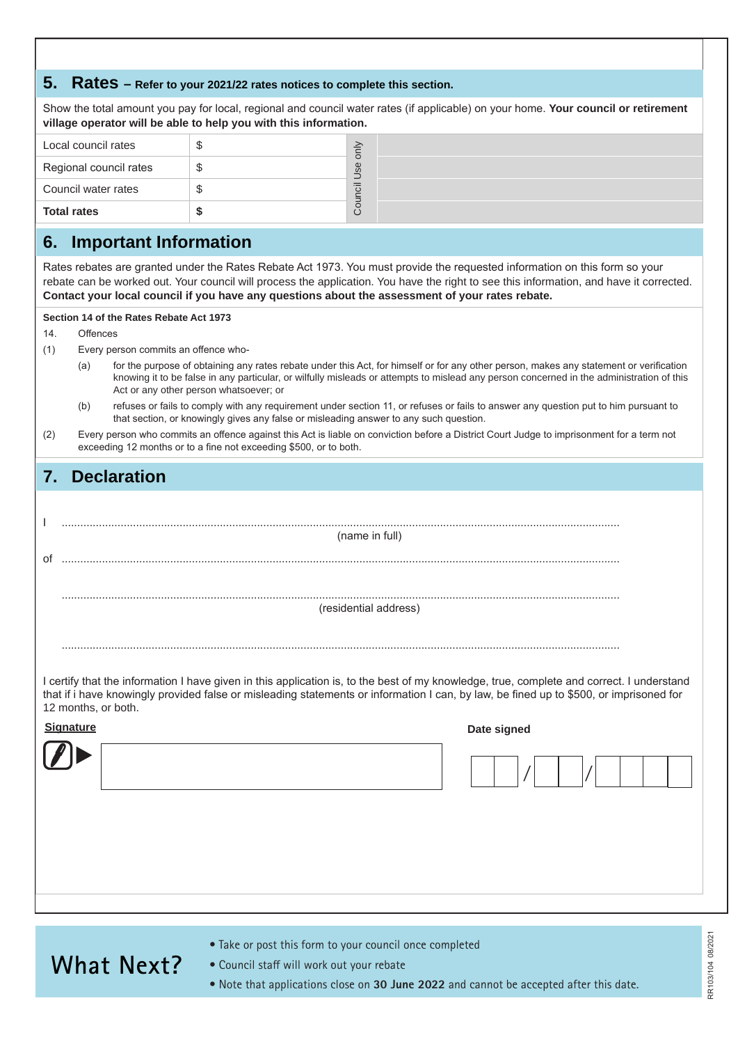### **5. Rates – Refer to your 2021/22 rates notices to complete this section.**

Show the total amount you pay for local, regional and council water rates (if applicable) on your home. **Your council or retirement village operator will be able to help you with this information.**

| <b>Total rates</b>     |     |
|------------------------|-----|
| Council water rates    | ㅎ   |
| Regional council rates | Use |
| Local council rates    |     |

### **6. Important Information**

Rates rebates are granted under the Rates Rebate Act 1973. You must provide the requested information on this form so your rebate can be worked out. Your council will process the application. You have the right to see this information, and have it corrected. **Contact your local council if you have any questions about the assessment of your rates rebate.**

#### **Section 14 of the Rates Rebate Act 1973**

14. Offences

- (1) Every person commits an offence who-
	- (a) for the purpose of obtaining any rates rebate under this Act, for himself or for any other person, makes any statement or verification knowing it to be false in any particular, or wilfully misleads or attempts to mislead any person concerned in the administration of this Act or any other person whatsoever; or
	- (b) refuses or fails to comply with any requirement under section 11, or refuses or fails to answer any question put to him pursuant to that section, or knowingly gives any false or misleading answer to any such question.
- (2) Every person who commits an offence against this Act is liable on conviction before a District Court Judge to imprisonment for a term not exceeding 12 months or to a fine not exceeding \$500, or to both.

### **7. Declaration**

|    | (name in full)        |
|----|-----------------------|
| of |                       |
|    |                       |
|    |                       |
|    | (residential address) |
|    |                       |
|    |                       |

I certify that the information I have given in this application is, to the best of my knowledge, true, complete and correct. I understand that if i have knowingly provided false or misleading statements or information I can, by law, be fined up to \$500, or imprisoned for 12 months, or both.

| Signature | Date signed |
|-----------|-------------|
|           | ,           |
|           |             |
|           |             |
|           |             |

# **What Next?**

- Take or post this form to your council once completed
- Council staff will work out your rebate
- Note that applications close on **30 June 2022** and cannot be accepted after this date.